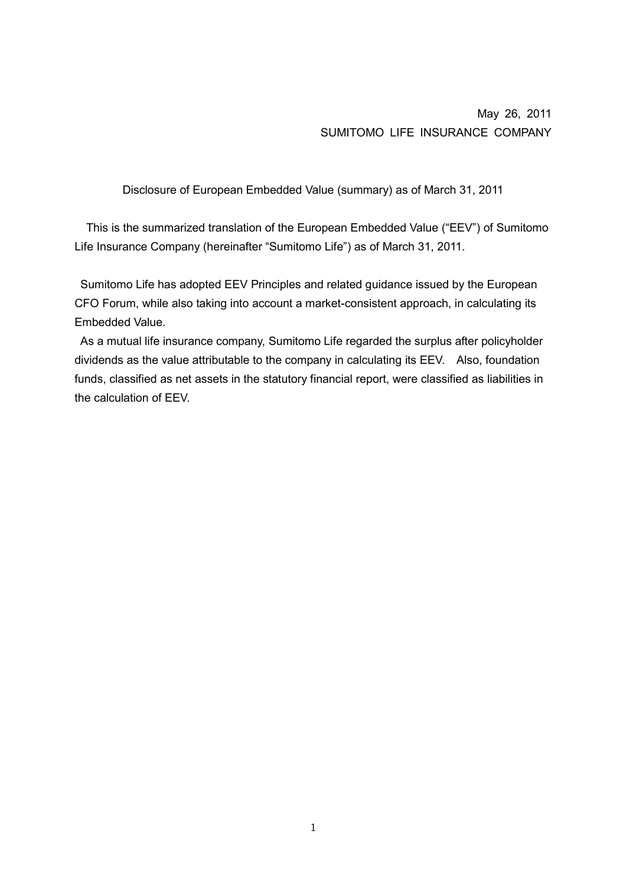# May 26, 2011 SUMITOMO LIFE INSURANCE COMPANY

Disclosure of European Embedded Value (summary) as of March 31, 2011

This is the summarized translation of the European Embedded Value ("EEV") of Sumitomo Life Insurance Company (hereinafter "Sumitomo Life") as of March 31, 2011.

 Sumitomo Life has adopted EEV Principles and related guidance issued by the European CFO Forum, while also taking into account a market-consistent approach, in calculating its Embedded Value.

 As a mutual life insurance company, Sumitomo Life regarded the surplus after policyholder dividends as the value attributable to the company in calculating its EEV. Also, foundation funds, classified as net assets in the statutory financial report, were classified as liabilities in the calculation of EEV.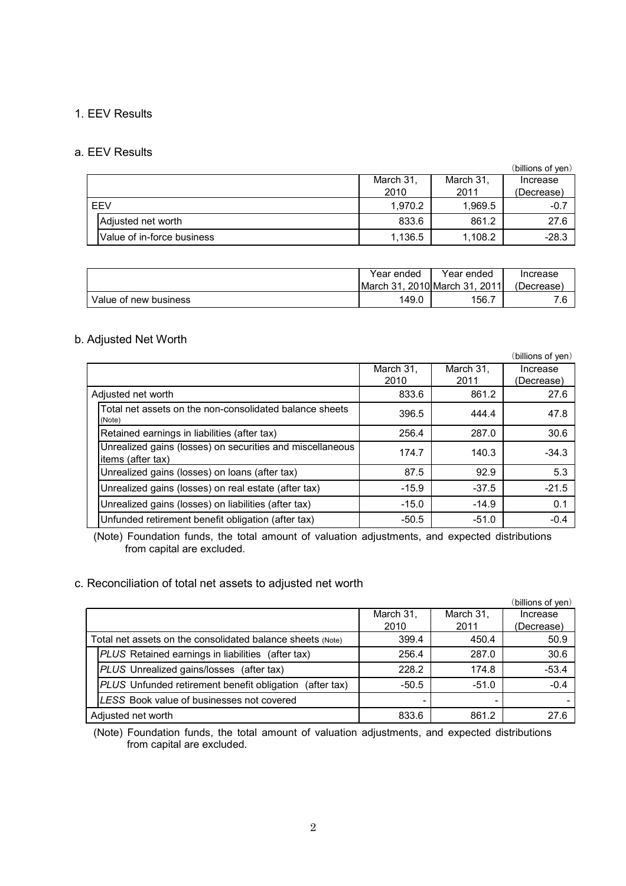### 1. EEV Results

### a. EEV Results

|            |                            |           |           | (billions of yen) |
|------------|----------------------------|-----------|-----------|-------------------|
|            |                            | March 31, | March 31, | Increase          |
|            |                            | 2010      | 2011      | (Decrease)        |
| <b>FFV</b> |                            | 1.970.2   | 1.969.5   | $-0.7$            |
|            | Adjusted net worth         | 833.6     | 861.2     | 27.6              |
|            | Value of in-force business | 1,136.5   | 1,108.2   | $-28.3$           |

|                       | Year ended          | Year ended                        | Increase   |
|-----------------------|---------------------|-----------------------------------|------------|
|                       | <b>March</b><br>-31 | 2011<br>. 2010 <b>I</b> March 31. | (Decrease) |
| Value of new business | 149.0               | 156.                              |            |

### b. Adjusted Net Worth

|                                                                                |                   |                   | (billions of yen)      |
|--------------------------------------------------------------------------------|-------------------|-------------------|------------------------|
|                                                                                | March 31,<br>2010 | March 31,<br>2011 | Increase<br>(Decrease) |
| Adjusted net worth                                                             | 833.6             | 861.2             | 27.6                   |
| Total net assets on the non-consolidated balance sheets<br>(Note)              | 396.5             | 444.4             | 47.8                   |
| Retained earnings in liabilities (after tax)                                   | 256.4             | 287.0             | 30.6                   |
| Unrealized gains (losses) on securities and miscellaneous<br>items (after tax) | 174.7             | 140.3             | $-34.3$                |
| Unrealized gains (losses) on loans (after tax)                                 | 87.5              | 92.9              | 5.3                    |
| Unrealized gains (losses) on real estate (after tax)                           | $-15.9$           | $-37.5$           | $-21.5$                |
| Unrealized gains (losses) on liabilities (after tax)                           | $-15.0$           | $-14.9$           | 0.1                    |
| Unfunded retirement benefit obligation (after tax)                             | $-50.5$           | $-51.0$           | $-0.4$                 |

(Note) Foundation funds, the total amount of valuation adjustments, and expected distributions from capital are excluded.

### c. Reconciliation of total net assets to adjusted net worth

|                                                                   |           |           | (billions of yen) |
|-------------------------------------------------------------------|-----------|-----------|-------------------|
|                                                                   | March 31, | March 31, | Increase          |
|                                                                   | 2010      | 2011      | (Decrease)        |
| Total net assets on the consolidated balance sheets (Note)        | 399.4     | 450.4     | 50.9              |
| PLUS Retained earnings in liabilities (after tax)                 | 256.4     | 287.0     | 30.6              |
| PLUS Unrealized gains/losses (after tax)                          | 228.2     | 174.8     | $-53.4$           |
| <b>PLUS</b> Unfunded retirement benefit obligation<br>(after tax) | $-50.5$   | $-51.0$   | $-0.4$            |
| LESS Book value of businesses not covered                         |           |           |                   |
| Adjusted net worth                                                | 833.6     | 861.2     | 27.6              |

(Note) Foundation funds, the total amount of valuation adjustments, and expected distributions from capital are excluded.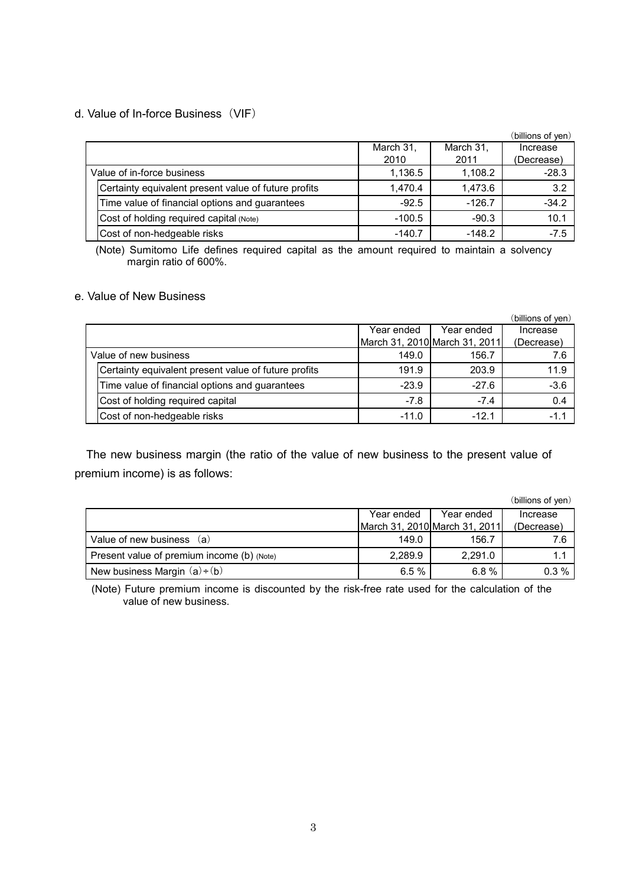## d. Value of In-force Business(VIF)

|                            |                                                      |           |           | (billions of yen) |
|----------------------------|------------------------------------------------------|-----------|-----------|-------------------|
|                            |                                                      | March 31, | March 31, | Increase          |
|                            |                                                      | 2010      | 2011      | (Decrease)        |
| Value of in-force business |                                                      | 1,136.5   | 1,108.2   | $-28.3$           |
|                            | Certainty equivalent present value of future profits | 1,470.4   | 1,473.6   | 3.2               |
|                            | Time value of financial options and guarantees       | $-92.5$   | $-126.7$  | $-34.2$           |
|                            | Cost of holding required capital (Note)              | $-100.5$  | $-90.3$   | 10.1              |
|                            | Cost of non-hedgeable risks                          | $-140.7$  | $-148.2$  | $-7.5$            |

(Note) Sumitomo Life defines required capital as the amount required to maintain a solvency margin ratio of 600%.

### e. Value of New Business

|                       |                                                      |            |                               | (billions of yen) |
|-----------------------|------------------------------------------------------|------------|-------------------------------|-------------------|
|                       |                                                      | Year ended | Year ended                    | Increase          |
|                       |                                                      |            | March 31, 2010 March 31, 2011 | (Decrease)        |
| Value of new business |                                                      | 149.0      | 156.7                         | 7.6               |
|                       | Certainty equivalent present value of future profits | 191.9      | 203.9                         | 11.9              |
|                       | Time value of financial options and guarantees       | $-23.9$    | $-27.6$                       | $-3.6$            |
|                       | Cost of holding required capital                     | $-7.8$     | $-7.4$                        | 0.4               |
|                       | Cost of non-hedgeable risks                          | $-11.0$    | $-12.1$                       | $-1.1$            |

The new business margin (the ratio of the value of new business to the present value of premium income) is as follows:

|                                            |            |                               | (billions of yen) |
|--------------------------------------------|------------|-------------------------------|-------------------|
|                                            | Year ended | Year ended                    | Increase          |
|                                            |            | March 31, 2010 March 31, 2011 | (Decrease)        |
| Value of new business (a)                  | 149.0      | 156.7                         | 7.6               |
| Present value of premium income (b) (Note) | 2.289.9    | 2.291.0                       |                   |
| New business Margin $(a)+(b)$              | 6.5%       | 6.8%                          | $0.3\%$           |

(Note) Future premium income is discounted by the risk-free rate used for the calculation of the value of new business.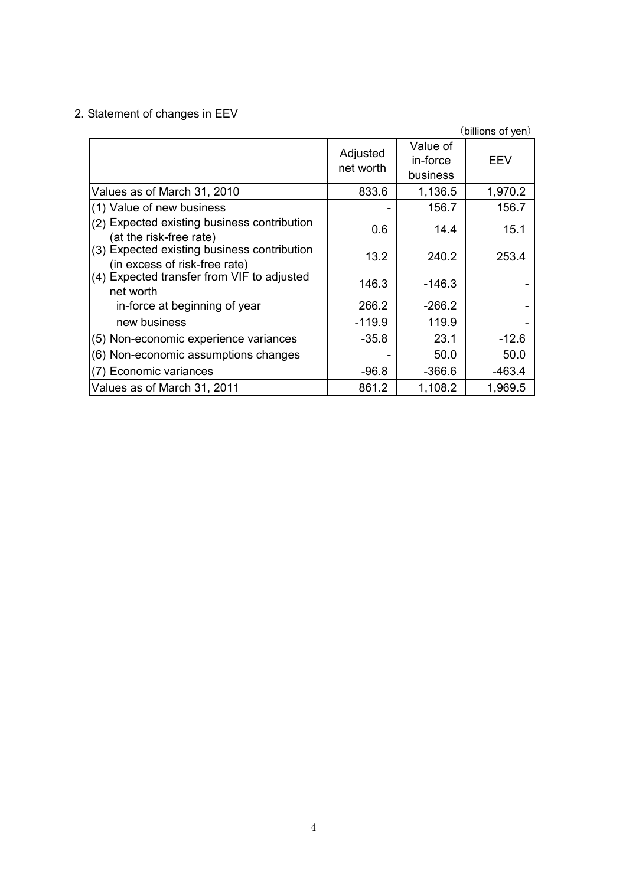2. Statement of changes in EEV

|                                                                              |                       |                                  | (billions of yen) |
|------------------------------------------------------------------------------|-----------------------|----------------------------------|-------------------|
|                                                                              | Adjusted<br>net worth | Value of<br>in-force<br>business | EEV               |
| Values as of March 31, 2010                                                  | 833.6                 | 1,136.5                          | 1,970.2           |
| (1) Value of new business                                                    |                       | 156.7                            | 156.7             |
| (2) Expected existing business contribution<br>(at the risk-free rate)       | 0.6                   | 14.4                             | 15.1              |
| (3) Expected existing business contribution<br>(in excess of risk-free rate) | 13.2                  | 240.2                            | 253.4             |
| (4) Expected transfer from VIF to adjusted<br>net worth                      | 146.3                 | -146.3                           |                   |
| in-force at beginning of year                                                | 266.2                 | $-266.2$                         |                   |
| new business                                                                 | $-119.9$              | 119.9                            |                   |
| (5) Non-economic experience variances                                        | $-35.8$               | 23.1                             | $-12.6$           |
| (6) Non-economic assumptions changes                                         |                       | 50.0                             | 50.0              |
| (7) Economic variances                                                       | $-96.8$               | $-366.6$                         | $-463.4$          |
| Values as of March 31, 2011                                                  | 861.2                 | 1,108.2                          | 1,969.5           |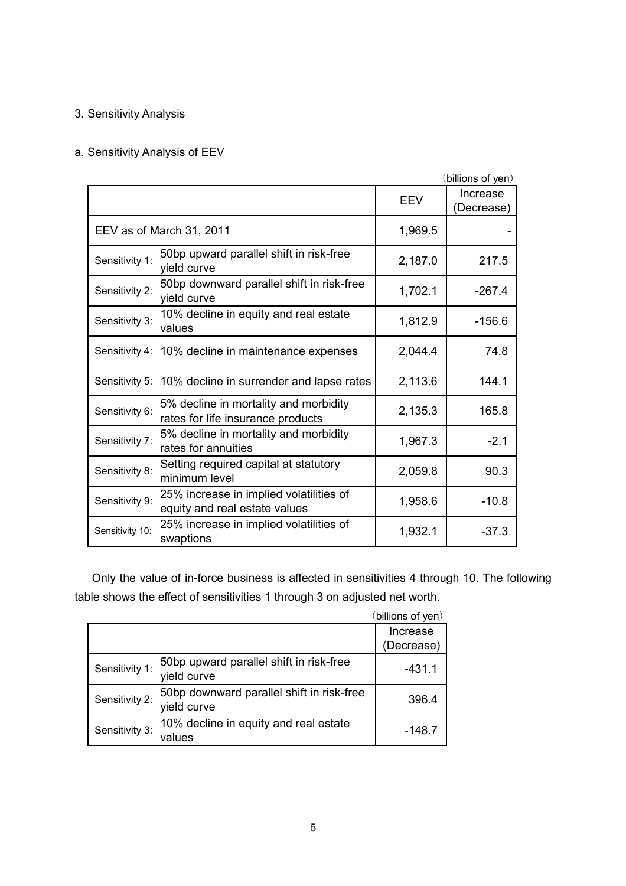# 3. Sensitivity Analysis

# a. Sensitivity Analysis of EEV

|                 |                                                                            |            | (billions of yen)      |
|-----------------|----------------------------------------------------------------------------|------------|------------------------|
|                 |                                                                            | <b>EEV</b> | Increase<br>(Decrease) |
|                 | EEV as of March 31, 2011                                                   | 1,969.5    |                        |
| Sensitivity 1:  | 50bp upward parallel shift in risk-free<br>yield curve                     | 2,187.0    | 217.5                  |
| Sensitivity 2:  | 50bp downward parallel shift in risk-free<br>yield curve                   | 1,702.1    | $-267.4$               |
| Sensitivity 3:  | 10% decline in equity and real estate<br>values                            | 1,812.9    | $-156.6$               |
|                 | Sensitivity 4: 10% decline in maintenance expenses                         | 2,044.4    | 74.8                   |
|                 | Sensitivity 5: 10% decline in surrender and lapse rates                    | 2,113.6    | 144.1                  |
| Sensitivity 6:  | 5% decline in mortality and morbidity<br>rates for life insurance products | 2,135.3    | 165.8                  |
| Sensitivity 7:  | 5% decline in mortality and morbidity<br>rates for annuities               | 1,967.3    | $-2.1$                 |
| Sensitivity 8:  | Setting required capital at statutory<br>minimum level                     | 2,059.8    | 90.3                   |
| Sensitivity 9:  | 25% increase in implied volatilities of<br>equity and real estate values   | 1,958.6    | $-10.8$                |
| Sensitivity 10: | 25% increase in implied volatilities of<br>swaptions                       | 1,932.1    | $-37.3$                |

 Only the value of in-force business is affected in sensitivities 4 through 10. The following table shows the effect of sensitivities 1 through 3 on adjusted net worth.

|                |                                                          | (billions of yen) |
|----------------|----------------------------------------------------------|-------------------|
|                |                                                          | Increase          |
|                |                                                          | (Decrease)        |
| Sensitivity 1: | 50bp upward parallel shift in risk-free<br>yield curve   | $-431.1$          |
| Sensitivity 2: | 50bp downward parallel shift in risk-free<br>yield curve | 396.4             |
| Sensitivity 3: | 10% decline in equity and real estate<br>values          | -148.7            |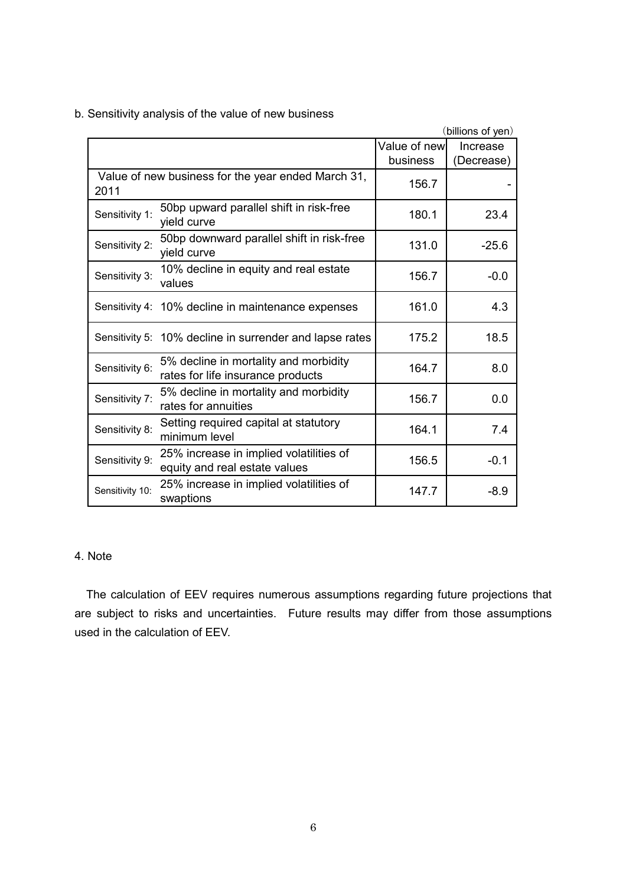b. Sensitivity analysis of the value of new business

|                 |                                                                            |               | (billions of yen) |
|-----------------|----------------------------------------------------------------------------|---------------|-------------------|
|                 |                                                                            | Value of newl | Increase          |
|                 |                                                                            | business      | (Decrease)        |
| 2011            | Value of new business for the year ended March 31,                         | 156.7         |                   |
| Sensitivity 1:  | 50bp upward parallel shift in risk-free<br>yield curve                     | 180.1         | 23.4              |
| Sensitivity 2:  | 50bp downward parallel shift in risk-free<br>yield curve                   | 131.0         | $-25.6$           |
| Sensitivity 3:  | 10% decline in equity and real estate<br>values                            | 156.7         | $-0.0$            |
|                 | Sensitivity 4: 10% decline in maintenance expenses                         | 161.0         | 4.3               |
|                 | Sensitivity 5: 10% decline in surrender and lapse rates                    | 175.2         | 18.5              |
| Sensitivity 6:  | 5% decline in mortality and morbidity<br>rates for life insurance products | 164.7         | 8.0               |
| Sensitivity 7:  | 5% decline in mortality and morbidity<br>rates for annuities               | 156.7         | 0.0               |
| Sensitivity 8:  | Setting required capital at statutory<br>minimum level                     | 164.1         | 7.4               |
| Sensitivity 9:  | 25% increase in implied volatilities of<br>equity and real estate values   | 156.5         | $-0.1$            |
| Sensitivity 10: | 25% increase in implied volatilities of<br>swaptions                       | 147.7         | $-8.9$            |

# 4. Note

The calculation of EEV requires numerous assumptions regarding future projections that are subject to risks and uncertainties. Future results may differ from those assumptions used in the calculation of EEV.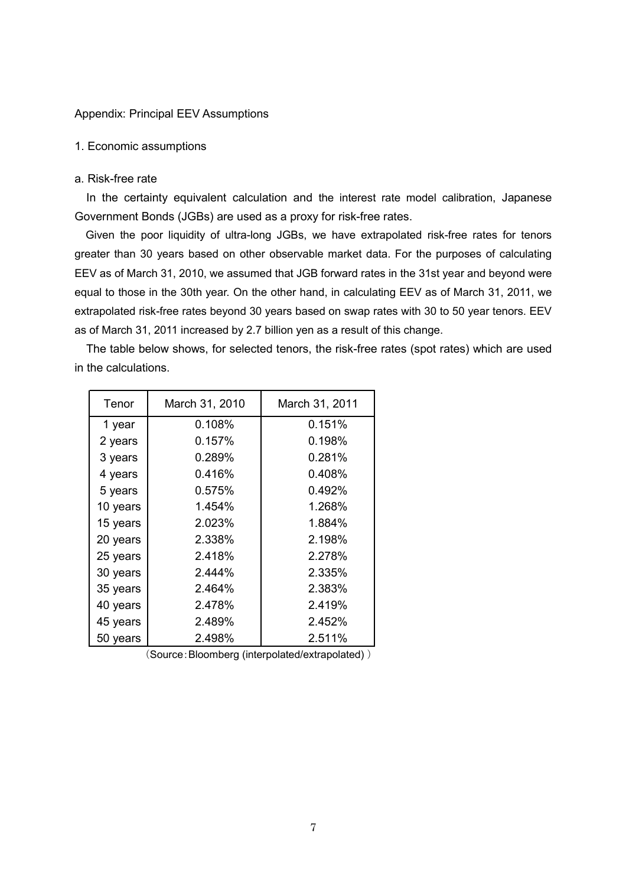#### Appendix: Principal EEV Assumptions

#### 1. Economic assumptions

#### a. Risk-free rate

In the certainty equivalent calculation and the interest rate model calibration, Japanese Government Bonds (JGBs) are used as a proxy for risk-free rates.

Given the poor liquidity of ultra-long JGBs, we have extrapolated risk-free rates for tenors greater than 30 years based on other observable market data. For the purposes of calculating EEV as of March 31, 2010, we assumed that JGB forward rates in the 31st year and beyond were equal to those in the 30th year. On the other hand, in calculating EEV as of March 31, 2011, we extrapolated risk-free rates beyond 30 years based on swap rates with 30 to 50 year tenors. EEV as of March 31, 2011 increased by 2.7 billion yen as a result of this change.

The table below shows, for selected tenors, the risk-free rates (spot rates) which are used in the calculations.

| Tenor    | March 31, 2010 | March 31, 2011 |
|----------|----------------|----------------|
| 1 year   | 0.108%         | 0.151%         |
| 2 years  | 0.157%         | 0.198%         |
| 3 years  | 0.289%         | 0.281%         |
| 4 years  | 0.416%         | 0.408%         |
| 5 years  | 0.575%         | 0.492%         |
| 10 years | 1.454%         | 1.268%         |
| 15 years | 2.023%         | 1.884%         |
| 20 years | 2.338%         | 2.198%         |
| 25 years | 2.418%         | 2.278%         |
| 30 years | 2.444%         | 2.335%         |
| 35 years | 2.464%         | 2.383%         |
| 40 years | 2.478%         | 2.419%         |
| 45 years | 2.489%         | 2.452%         |
| 50 years | 2.498%         | 2.511%         |

(Source:Bloomberg (interpolated/extrapolated) )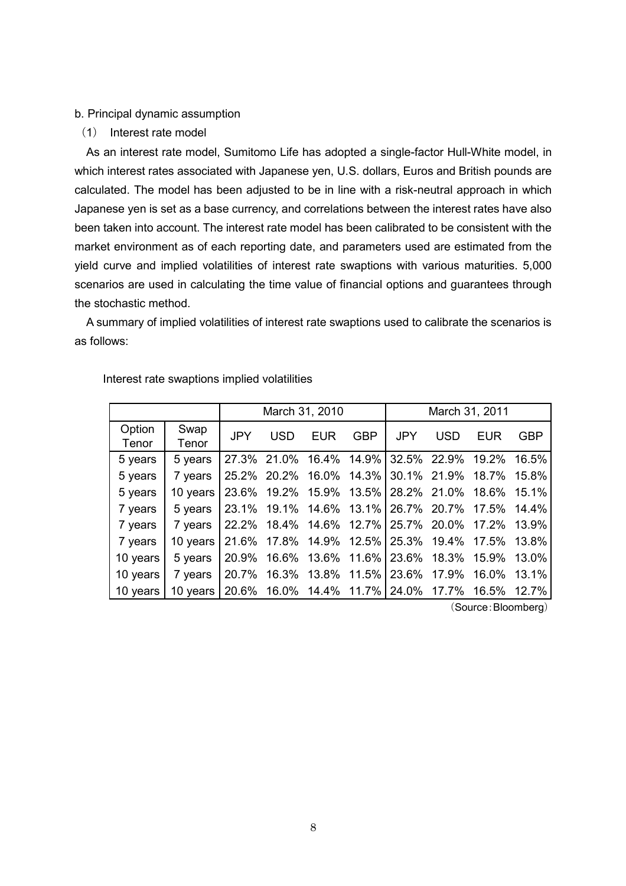#### b. Principal dynamic assumption

(1) Interest rate model

As an interest rate model, Sumitomo Life has adopted a single-factor Hull-White model, in which interest rates associated with Japanese yen, U.S. dollars, Euros and British pounds are calculated. The model has been adjusted to be in line with a risk-neutral approach in which Japanese yen is set as a base currency, and correlations between the interest rates have also been taken into account. The interest rate model has been calibrated to be consistent with the market environment as of each reporting date, and parameters used are estimated from the yield curve and implied volatilities of interest rate swaptions with various maturities. 5,000 scenarios are used in calculating the time value of financial options and guarantees through the stochastic method.

A summary of implied volatilities of interest rate swaptions used to calibrate the scenarios is as follows:

|                 |               |            | March 31, 2010 |            | March 31, 2011 |                         |            |                                                 |            |
|-----------------|---------------|------------|----------------|------------|----------------|-------------------------|------------|-------------------------------------------------|------------|
| Option<br>Tenor | Swap<br>Tenor | <b>JPY</b> | <b>USD</b>     | <b>EUR</b> | <b>GBP</b>     | <b>JPY</b>              | <b>USD</b> | EUR                                             | <b>GBP</b> |
| 5 years         | 5 years       |            |                |            |                |                         |            | 27.3% 21.0% 16.4% 14.9% 32.5% 22.9% 19.2% 16.5% |            |
| 5 years         | 7 years       | 25.2%      | 20.2%          |            |                | 16.0% 14.3% 30.1% 21.9% |            | 18.7%                                           | 15.8%      |
| 5 years         | 10 years      | 23.6%      | 19.2%          |            |                | 15.9% 13.5% 28.2% 21.0% |            | 18.6%                                           | 15.1%      |
| 7 years         | 5 years       |            | 23.1% 19.1%    |            |                |                         |            | 14.6% 13.1% 26.7% 20.7% 17.5% 14.4%             |            |
| 7 years         | 7 years       | 22.2%      | 18.4%          |            |                | 14.6% 12.7% 25.7% 20.0% |            | 17.2%                                           | 13.9%      |
| 7 years         | 10 years      | 21.6%      |                |            |                |                         |            | 17.8% 14.9% 12.5% 25.3% 19.4% 17.5% 13.8%       |            |
| 10 years        | 5 years       | 20.9%      | 16.6%          |            |                |                         |            | 13.6% 11.6% 23.6% 18.3% 15.9%                   | 13.0%      |
| 10 years        | 7 years       | 20.7%      | 16.3%          |            |                | 13.8% 11.5% 23.6% 17.9% |            | 16.0%                                           | 13.1%      |
| 10 years        | 10 years      |            |                |            |                |                         |            | 20.6% 16.0% 14.4% 11.7% 24.0% 17.7% 16.5%       | 12.7%      |

Interest rate swaptions implied volatilities

(Source:Bloomberg)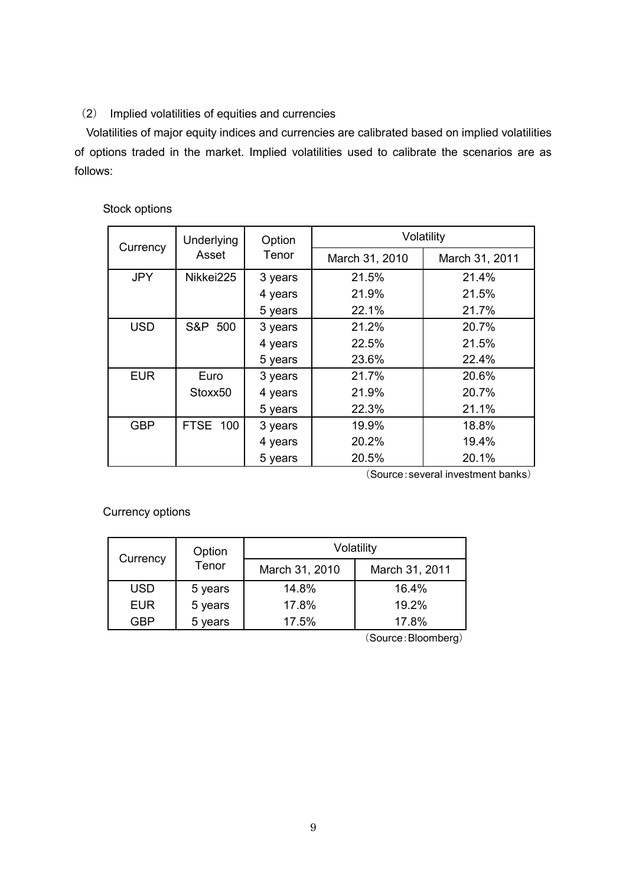# (2) Implied volatilities of equities and currencies

Volatilities of major equity indices and currencies are calibrated based on implied volatilities of options traded in the market. Implied volatilities used to calibrate the scenarios are as follows:

## Stock options

|            | <b>Underlying</b> | Option  | Volatility     |                |  |  |  |
|------------|-------------------|---------|----------------|----------------|--|--|--|
| Currency   | Asset             | Tenor   | March 31, 2010 | March 31, 2011 |  |  |  |
| <b>JPY</b> | Nikkei225         | 3 years | 21.5%          | 21.4%          |  |  |  |
|            |                   | 4 years | 21.9%          | 21.5%          |  |  |  |
|            |                   | 5 years | 22.1%          | 21.7%          |  |  |  |
| <b>USD</b> | S&P 500           | 3 years | 21.2%          | 20.7%          |  |  |  |
|            |                   | 4 years | 22.5%          | 21.5%          |  |  |  |
|            |                   | 5 years | 23.6%          | 22.4%          |  |  |  |
| <b>EUR</b> | Euro              | 3 years | 21.7%          | 20.6%          |  |  |  |
|            | Stoxx50           | 4 years | 21.9%          | 20.7%          |  |  |  |
|            |                   | 5 years | 22.3%          | 21.1%          |  |  |  |
| <b>GBP</b> | FTSE 100          | 3 years | 19.9%          | 18.8%          |  |  |  |
|            |                   | 4 years | 20.2%          | 19.4%          |  |  |  |
|            |                   | 5 years | 20.5%          | 20.1%          |  |  |  |

(Source:several investment banks)

Currency options

| Currency   | Option  | Volatility     |                |  |  |  |  |
|------------|---------|----------------|----------------|--|--|--|--|
|            | Tenor   | March 31, 2010 | March 31, 2011 |  |  |  |  |
| <b>USD</b> | 5 years | 14.8%          | 16.4%          |  |  |  |  |
| <b>EUR</b> | 5 years | 17.8%          | 19.2%          |  |  |  |  |
| GBP        | 5 years | 17.5%          | 17.8%          |  |  |  |  |

(Source:Bloomberg)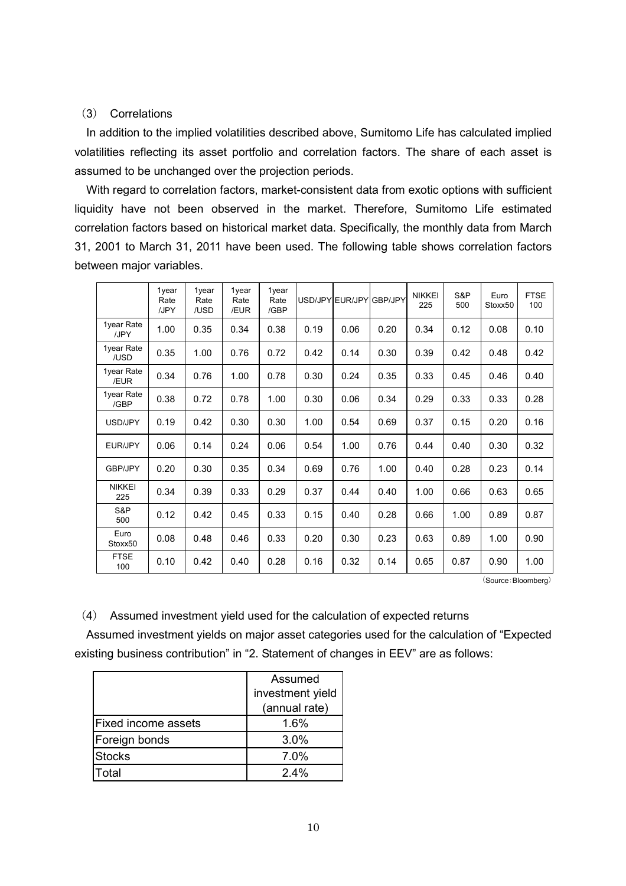### (3) Correlations

In addition to the implied volatilities described above, Sumitomo Life has calculated implied volatilities reflecting its asset portfolio and correlation factors. The share of each asset is assumed to be unchanged over the projection periods.

With regard to correlation factors, market-consistent data from exotic options with sufficient liquidity have not been observed in the market. Therefore, Sumitomo Life estimated correlation factors based on historical market data. Specifically, the monthly data from March 31, 2001 to March 31, 2011 have been used. The following table shows correlation factors between major variables.

|                      | 1year<br>Rate<br>/JPY | 1year<br>Rate<br>/USD | 1year<br>Rate<br>/EUR | 1year<br>Rate<br>/GBP |      | USD/JPY EUR/JPY | <b>GBP/JPY</b> | <b>NIKKEI</b><br>225 | S&P<br>500 | Euro<br>Stoxx50 | <b>FTSE</b><br>100 |
|----------------------|-----------------------|-----------------------|-----------------------|-----------------------|------|-----------------|----------------|----------------------|------------|-----------------|--------------------|
| 1year Rate<br>/JPY   | 1.00                  | 0.35                  | 0.34                  | 0.38                  | 0.19 | 0.06            | 0.20           | 0.34                 | 0.12       | 0.08            | 0.10               |
| 1year Rate<br>/USD   | 0.35                  | 1.00                  | 0.76                  | 0.72                  | 0.42 | 0.14            | 0.30           | 0.39                 | 0.42       | 0.48            | 0.42               |
| 1year Rate<br>/EUR   | 0.34                  | 0.76                  | 1.00                  | 0.78                  | 0.30 | 0.24            | 0.35           | 0.33                 | 0.45       | 0.46            | 0.40               |
| 1year Rate<br>/GBP   | 0.38                  | 0.72                  | 0.78                  | 1.00                  | 0.30 | 0.06            | 0.34           | 0.29                 | 0.33       | 0.33            | 0.28               |
| USD/JPY              | 0.19                  | 0.42                  | 0.30                  | 0.30                  | 1.00 | 0.54            | 0.69           | 0.37                 | 0.15       | 0.20            | 0.16               |
| EUR/JPY              | 0.06                  | 0.14                  | 0.24                  | 0.06                  | 0.54 | 1.00            | 0.76           | 0.44                 | 0.40       | 0.30            | 0.32               |
| GBP/JPY              | 0.20                  | 0.30                  | 0.35                  | 0.34                  | 0.69 | 0.76            | 1.00           | 0.40                 | 0.28       | 0.23            | 0.14               |
| <b>NIKKEI</b><br>225 | 0.34                  | 0.39                  | 0.33                  | 0.29                  | 0.37 | 0.44            | 0.40           | 1.00                 | 0.66       | 0.63            | 0.65               |
| S&P<br>500           | 0.12                  | 0.42                  | 0.45                  | 0.33                  | 0.15 | 0.40            | 0.28           | 0.66                 | 1.00       | 0.89            | 0.87               |
| Euro<br>Stoxx50      | 0.08                  | 0.48                  | 0.46                  | 0.33                  | 0.20 | 0.30            | 0.23           | 0.63                 | 0.89       | 1.00            | 0.90               |
| <b>FTSE</b><br>100   | 0.10                  | 0.42                  | 0.40                  | 0.28                  | 0.16 | 0.32            | 0.14           | 0.65                 | 0.87       | 0.90            | 1.00               |

(Source:Bloomberg)

(4) Assumed investment yield used for the calculation of expected returns

Assumed investment yields on major asset categories used for the calculation of "Expected existing business contribution" in "2. Statement of changes in EEV" are as follows:

|                            | Assumed          |  |  |  |
|----------------------------|------------------|--|--|--|
|                            | investment yield |  |  |  |
|                            | (annual rate)    |  |  |  |
| <b>Fixed income assets</b> | 1.6%             |  |  |  |
| Foreign bonds              | 3.0%             |  |  |  |
| <b>Stocks</b>              | 7.0%             |  |  |  |
| Total                      | 24%              |  |  |  |